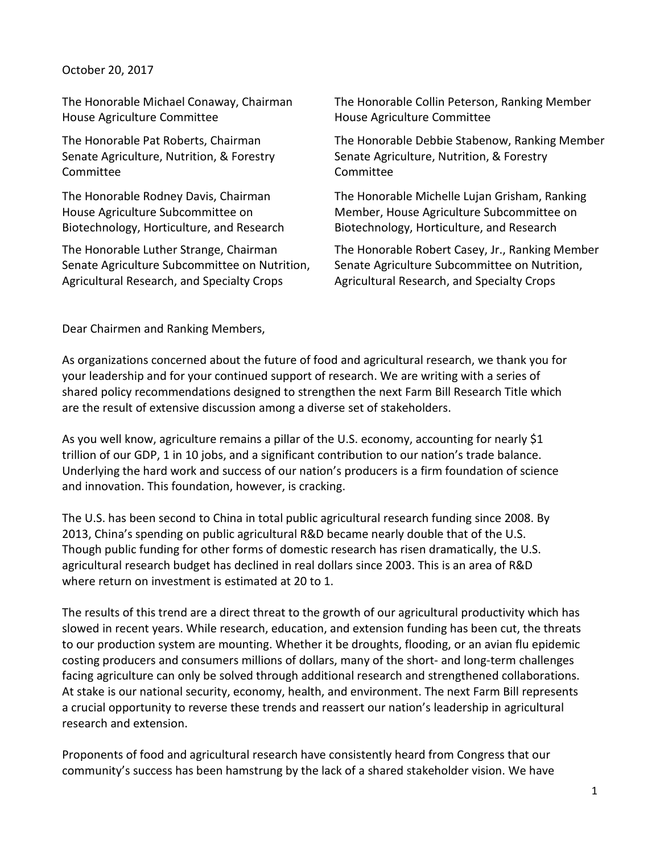#### October 20, 2017

The Honorable Michael Conaway, Chairman House Agriculture Committee

The Honorable Pat Roberts, Chairman Senate Agriculture, Nutrition, & Forestry Committee

The Honorable Rodney Davis, Chairman House Agriculture Subcommittee on Biotechnology, Horticulture, and Research

The Honorable Luther Strange, Chairman Senate Agriculture Subcommittee on Nutrition, Agricultural Research, and Specialty Crops

The Honorable Collin Peterson, Ranking Member House Agriculture Committee

The Honorable Debbie Stabenow, Ranking Member Senate Agriculture, Nutrition, & Forestry Committee

The Honorable Michelle Lujan Grisham, Ranking Member, House Agriculture Subcommittee on Biotechnology, Horticulture, and Research

The Honorable Robert Casey, Jr., Ranking Member Senate Agriculture Subcommittee on Nutrition, Agricultural Research, and Specialty Crops

Dear Chairmen and Ranking Members,

As organizations concerned about the future of food and agricultural research, we thank you for your leadership and for your continued support of research. We are writing with a series of shared policy recommendations designed to strengthen the next Farm Bill Research Title which are the result of extensive discussion among a diverse set of stakeholders.

As you well know, agriculture remains a pillar of the U.S. economy, accounting for nearly \$1 trillion of our GDP, 1 in 10 jobs, and a significant contribution to our nation's trade balance. Underlying the hard work and success of our nation's producers is a firm foundation of science and innovation. This foundation, however, is cracking.

The U.S. has been second to China in total public agricultural research funding since 2008. By 2013, China's spending on public agricultural R&D became nearly double that of the U.S. Though public funding for other forms of domestic research has risen dramatically, the U.S. agricultural research budget has declined in real dollars since 2003. This is an area of R&D where return on investment is estimated at 20 to 1.

The results of this trend are a direct threat to the growth of our agricultural productivity which has slowed in recent years. While research, education, and extension funding has been cut, the threats to our production system are mounting. Whether it be droughts, flooding, or an avian flu epidemic costing producers and consumers millions of dollars, many of the short- and long-term challenges facing agriculture can only be solved through additional research and strengthened collaborations. At stake is our national security, economy, health, and environment. The next Farm Bill represents a crucial opportunity to reverse these trends and reassert our nation's leadership in agricultural research and extension.

Proponents of food and agricultural research have consistently heard from Congress that our community's success has been hamstrung by the lack of a shared stakeholder vision. We have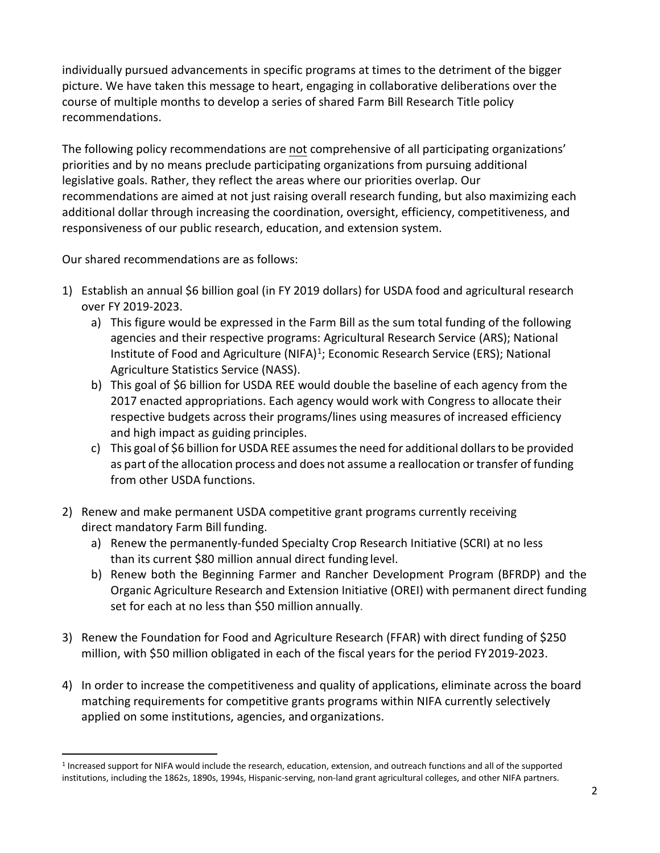individually pursued advancements in specific programs at times to the detriment of the bigger picture. We have taken this message to heart, engaging in collaborative deliberations over the course of multiple months to develop a series of shared Farm Bill Research Title policy recommendations.

The following policy recommendations are not comprehensive of all participating organizations' priorities and by no means preclude participating organizations from pursuing additional legislative goals. Rather, they reflect the areas where our priorities overlap. Our recommendations are aimed at not just raising overall research funding, but also maximizing each additional dollar through increasing the coordination, oversight, efficiency, competitiveness, and responsiveness of our public research, education, and extension system.

Our shared recommendations are as follows:

- 1) Establish an annual \$6 billion goal (in FY 2019 dollars) for USDA food and agricultural research over FY 2019-2023.
	- a) This figure would be expressed in the Farm Bill as the sum total funding of the following agencies and their respective programs: Agricultural Research Service (ARS); National Institute of Food and Agriculture (NIFA)<sup>1</sup>; Economic Research Service (ERS); National Agriculture Statistics Service (NASS).
	- b) This goal of \$6 billion for USDA REE would double the baseline of each agency from the 2017 enacted appropriations. Each agency would work with Congress to allocate their respective budgets across their programs/lines using measures of increased efficiency and high impact as guiding principles.
	- c) This goal of \$6 billion for USDA REE assumes the need for additional dollars to be provided as part of the allocation process and does not assume a reallocation or transfer of funding from other USDA functions.
- 2) Renew and make permanent USDA competitive grant programs currently receiving direct mandatory Farm Bill funding.
	- a) Renew the permanently-funded Specialty Crop Research Initiative (SCRI) at no less than its current \$80 million annual direct funding level.
	- b) Renew both the Beginning Farmer and Rancher Development Program (BFRDP) and the Organic Agriculture Research and Extension Initiative (OREI) with permanent direct funding set for each at no less than \$50 million annually.
- 3) Renew the Foundation for Food and Agriculture Research (FFAR) with direct funding of \$250 million, with \$50 million obligated in each of the fiscal years for the period FY2019-2023.
- 4) In order to increase the competitiveness and quality of applications, eliminate across the board matching requirements for competitive grants programs within NIFA currently selectively applied on some institutions, agencies, and organizations.

<span id="page-1-0"></span><sup>1</sup> Increased support for NIFA would include the research, education, extension, and outreach functions and all of the supported institutions, including the 1862s, 1890s, 1994s, Hispanic-serving, non-land grant agricultural colleges, and other NIFA partners.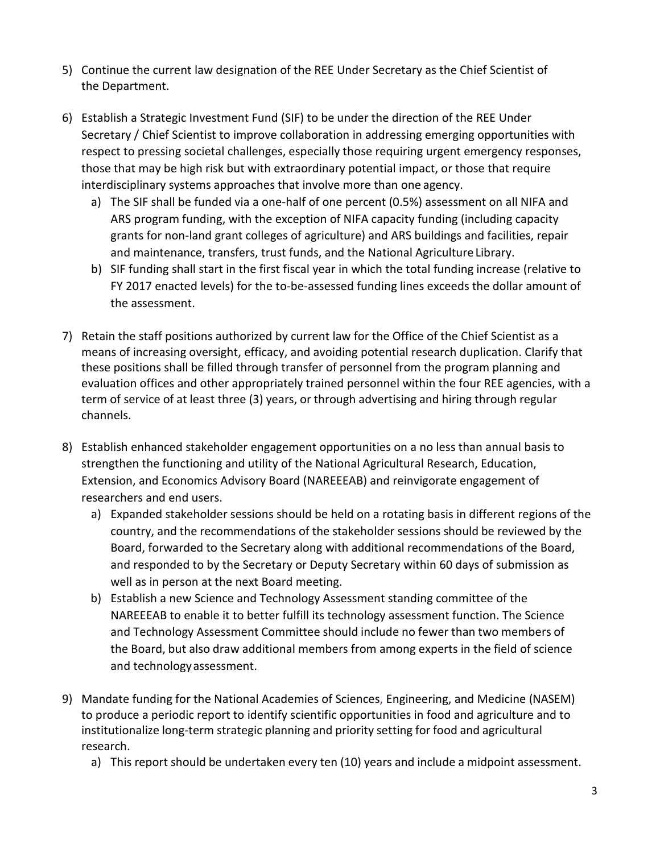- 5) Continue the current law designation of the REE Under Secretary as the Chief Scientist of the Department.
- 6) Establish a Strategic Investment Fund (SIF) to be under the direction of the REE Under Secretary / Chief Scientist to improve collaboration in addressing emerging opportunities with respect to pressing societal challenges, especially those requiring urgent emergency responses, those that may be high risk but with extraordinary potential impact, or those that require interdisciplinary systems approaches that involve more than one agency.
	- a) The SIF shall be funded via a one-half of one percent (0.5%) assessment on all NIFA and ARS program funding, with the exception of NIFA capacity funding (including capacity grants for non-land grant colleges of agriculture) and ARS buildings and facilities, repair and maintenance, transfers, trust funds, and the National Agriculture Library.
	- b) SIF funding shall start in the first fiscal year in which the total funding increase (relative to FY 2017 enacted levels) for the to-be-assessed funding lines exceeds the dollar amount of the assessment.
- 7) Retain the staff positions authorized by current law for the Office of the Chief Scientist as a means of increasing oversight, efficacy, and avoiding potential research duplication. Clarify that these positions shall be filled through transfer of personnel from the program planning and evaluation offices and other appropriately trained personnel within the four REE agencies, with a term of service of at least three (3) years, or through advertising and hiring through regular channels.
- 8) Establish enhanced stakeholder engagement opportunities on a no less than annual basis to strengthen the functioning and utility of the National Agricultural Research, Education, Extension, and Economics Advisory Board (NAREEEAB) and reinvigorate engagement of researchers and end users.
	- a) Expanded stakeholder sessions should be held on a rotating basis in different regions of the country, and the recommendations of the stakeholder sessions should be reviewed by the Board, forwarded to the Secretary along with additional recommendations of the Board, and responded to by the Secretary or Deputy Secretary within 60 days of submission as well as in person at the next Board meeting.
	- b) Establish a new Science and Technology Assessment standing committee of the NAREEEAB to enable it to better fulfill its technology assessment function. The Science and Technology Assessment Committee should include no fewer than two members of the Board, but also draw additional members from among experts in the field of science and technologyassessment.
- 9) Mandate funding for the National Academies of Sciences, Engineering, and Medicine (NASEM) to produce a periodic report to identify scientific opportunities in food and agriculture and to institutionalize long-term strategic planning and priority setting for food and agricultural research.
	- a) This report should be undertaken every ten (10) years and include a midpoint assessment.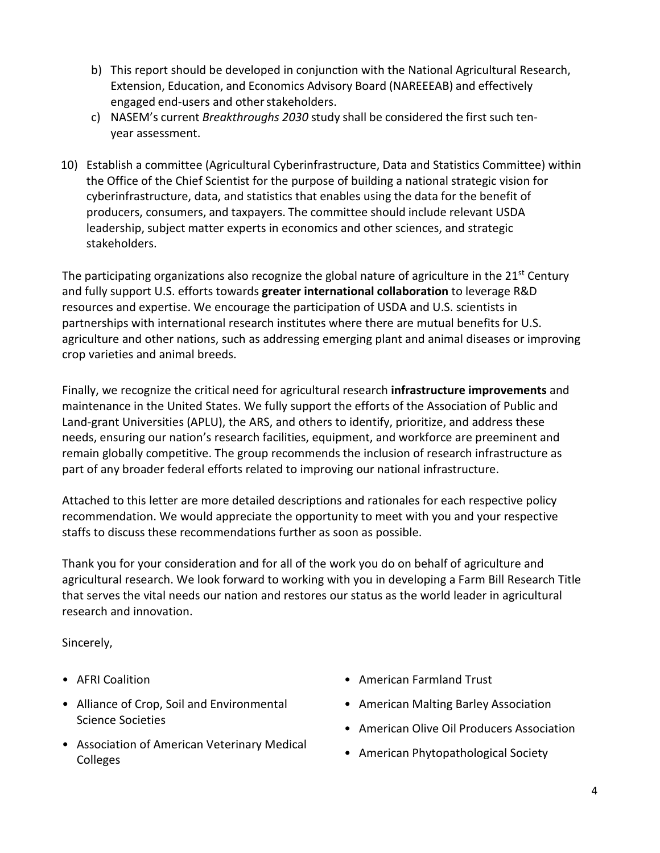- b) This report should be developed in conjunction with the National Agricultural Research, Extension, Education, and Economics Advisory Board (NAREEEAB) and effectively engaged end-users and other stakeholders.
- c) NASEM's current *Breakthroughs 2030* study shall be considered the first such tenyear assessment.
- 10) Establish a committee (Agricultural Cyberinfrastructure, Data and Statistics Committee) within the Office of the Chief Scientist for the purpose of building a national strategic vision for cyberinfrastructure, data, and statistics that enables using the data for the benefit of producers, consumers, and taxpayers. The committee should include relevant USDA leadership, subject matter experts in economics and other sciences, and strategic stakeholders.

The participating organizations also recognize the global nature of agriculture in the 21<sup>st</sup> Century and fully support U.S. efforts towards **greater international collaboration** to leverage R&D resources and expertise. We encourage the participation of USDA and U.S. scientists in partnerships with international research institutes where there are mutual benefits for U.S. agriculture and other nations, such as addressing emerging plant and animal diseases or improving crop varieties and animal breeds.

Finally, we recognize the critical need for agricultural research **infrastructure improvements** and maintenance in the United States. We fully support the efforts of the Association of Public and Land-grant Universities (APLU), the ARS, and others to identify, prioritize, and address these needs, ensuring our nation's research facilities, equipment, and workforce are preeminent and remain globally competitive. The group recommends the inclusion of research infrastructure as part of any broader federal efforts related to improving our national infrastructure.

Attached to this letter are more detailed descriptions and rationales for each respective policy recommendation. We would appreciate the opportunity to meet with you and your respective staffs to discuss these recommendations further as soon as possible.

Thank you for your consideration and for all of the work you do on behalf of agriculture and agricultural research. We look forward to working with you in developing a Farm Bill Research Title that serves the vital needs our nation and restores our status as the world leader in agricultural research and innovation.

Sincerely,

- AFRI Coalition
- Alliance of Crop, Soil and Environmental Science Societies
- Association of American Veterinary Medical Colleges
- American Farmland Trust
- American Malting Barley Association
- American Olive Oil Producers Association
- American Phytopathological Society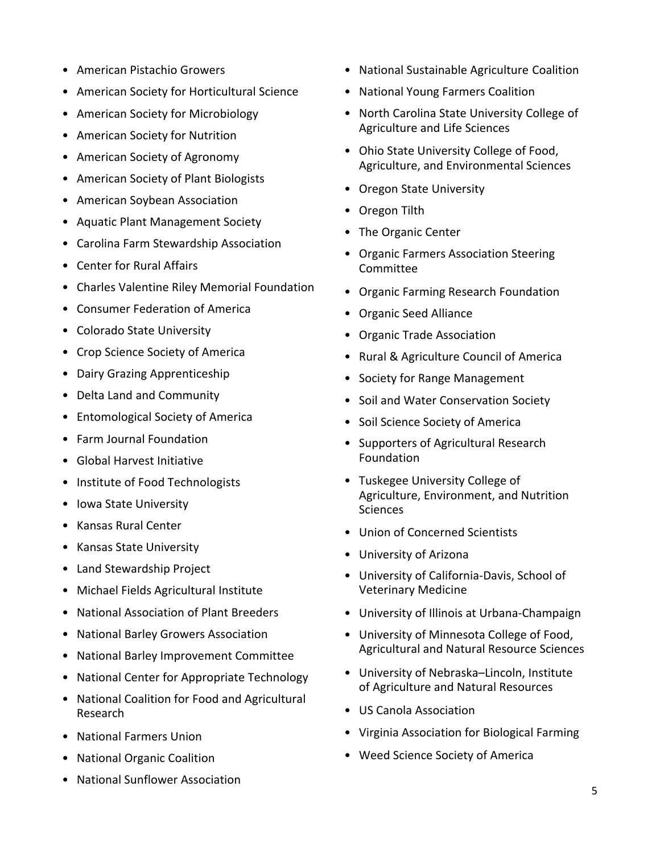- American Pistachio Growers
- American Society for Horticultural Science
- American Society for Microbiology
- American Society for Nutrition
- American Society of Agronomy
- American Society of Plant Biologists
- American Soybean Association
- Aquatic Plant Management Society
- Carolina Farm Stewardship Association
- Center for Rural Affairs
- Charles Valentine Riley Memorial Foundation
- Consumer Federation of America
- Colorado State University
- Crop Science Society of America
- Dairy Grazing Apprenticeship
- Delta Land and Community
- Entomological Society of America
- Farm Journal Foundation
- Global Harvest Initiative
- Institute of Food Technologists
- Iowa State University
- Kansas Rural Center
- Kansas State University
- Land Stewardship Project
- Michael Fields Agricultural Institute
- National Association of Plant Breeders
- National Barley Growers Association
- National Barley Improvement Committee
- National Center for Appropriate Technology
- National Coalition for Food and Agricultural Research
- National Farmers Union
- National Organic Coalition
- National Sunflower Association
- National Sustainable Agriculture Coalition
- National Young Farmers Coalition
- North Carolina State University College of Agriculture and Life Sciences
- Ohio State University College of Food, Agriculture, and Environmental Sciences
- Oregon State University
- Oregon Tilth
- The Organic Center
- Organic Farmers Association Steering Committee
- Organic Farming Research Foundation
- Organic Seed Alliance
- Organic Trade Association
- Rural & Agriculture Council of America
- Society for Range Management
- Soil and Water Conservation Society
- Soil Science Society of America
- Supporters of Agricultural Research Foundation
- Tuskegee University College of Agriculture, Environment, and Nutrition Sciences
- Union of Concerned Scientists
- University of Arizona
- University of California-Davis, School of Veterinary Medicine
- University of Illinois at Urbana-Champaign
- University of Minnesota College of Food, Agricultural and Natural Resource Sciences
- University of Nebraska–Lincoln, Institute of Agriculture and Natural Resources
- US Canola Association
- Virginia Association for Biological Farming
- Weed Science Society of America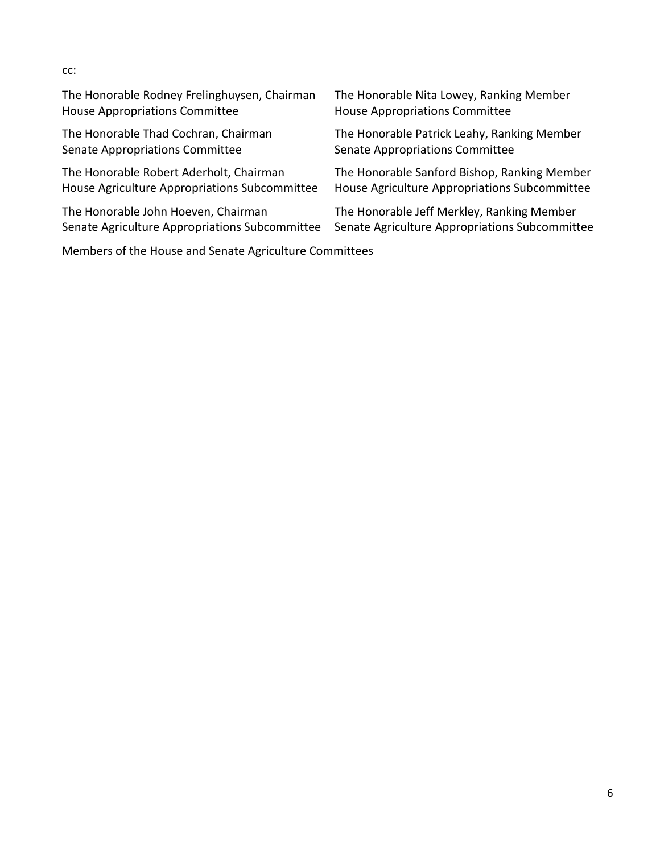| The Honorable Rodney Frelinghuysen, Chairman   | The Honorable Nita Lowey, Ranking Member       |
|------------------------------------------------|------------------------------------------------|
| <b>House Appropriations Committee</b>          | <b>House Appropriations Committee</b>          |
| The Honorable Thad Cochran, Chairman           | The Honorable Patrick Leahy, Ranking Member    |
| Senate Appropriations Committee                | Senate Appropriations Committee                |
| The Honorable Robert Aderholt, Chairman        | The Honorable Sanford Bishop, Ranking Member   |
| House Agriculture Appropriations Subcommittee  | House Agriculture Appropriations Subcommittee  |
| The Honorable John Hoeven, Chairman            | The Honorable Jeff Merkley, Ranking Member     |
| Senate Agriculture Appropriations Subcommittee | Senate Agriculture Appropriations Subcommittee |

Members of the House and Senate Agriculture Committees

# cc: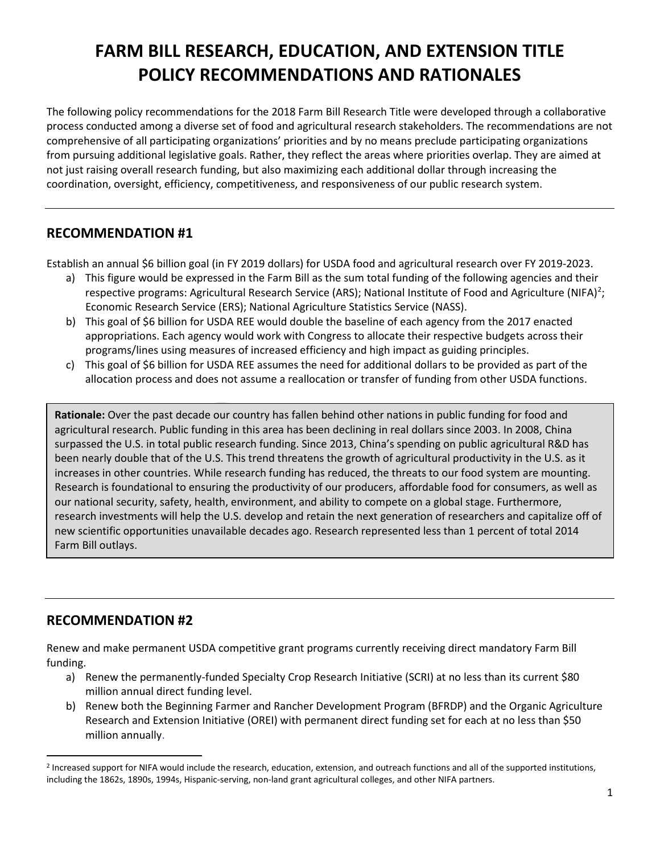# **FARM BILL RESEARCH, EDUCATION, AND EXTENSION TITLE POLICY RECOMMENDATIONS AND RATIONALES**

The following policy recommendations for the 2018 Farm Bill Research Title were developed through a collaborative process conducted among a diverse set of food and agricultural research stakeholders. The recommendations are not comprehensive of all participating organizations' priorities and by no means preclude participating organizations from pursuing additional legislative goals. Rather, they reflect the areas where priorities overlap. They are aimed at not just raising overall research funding, but also maximizing each additional dollar through increasing the coordination, oversight, efficiency, competitiveness, and responsiveness of our public research system.

# **RECOMMENDATION #1**

Establish an annual \$6 billion goal (in FY 2019 dollars) for USDA food and agricultural research over FY 2019-2023.

- a) This figure would be expressed in the Farm Bill as the sum total funding of the following agencies and their respective programs: Agricultural Research Service (ARS); National Institute of Food and Agriculture (NIFA)<sup>[2](#page-6-0)</sup>; Economic Research Service (ERS); National Agriculture Statistics Service (NASS).
- b) This goal of \$6 billion for USDA REE would double the baseline of each agency from the 2017 enacted appropriations. Each agency would work with Congress to allocate their respective budgets across their programs/lines using measures of increased efficiency and high impact as guiding principles.
- c) This goal of \$6 billion for USDA REE assumes the need for additional dollars to be provided as part of the allocation process and does not assume a reallocation or transfer of funding from other USDA functions.

**Rationale:** Over the past decade our country has fallen behind other nations in public funding for food and agricultural research. Public funding in this area has been declining in real dollars since 2003. In 2008, China surpassed the U.S. in total public research funding. Since 2013, China's spending on public agricultural R&D has been nearly double that of the U.S. This trend threatens the growth of agricultural productivity in the U.S. as it increases in other countries. While research funding has reduced, the threats to our food system are mounting. Research is foundational to ensuring the productivity of our producers, affordable food for consumers, as well as our national security, safety, health, environment, and ability to compete on a global stage. Furthermore, research investments will help the U.S. develop and retain the next generation of researchers and capitalize off of new scientific opportunities unavailable decades ago. Research represented less than 1 percent of total 2014 Farm Bill outlays.

# **RECOMMENDATION #2**

Renew and make permanent USDA competitive grant programs currently receiving direct mandatory Farm Bill funding.

- a) Renew the permanently-funded Specialty Crop Research Initiative (SCRI) at no less than its current \$80 million annual direct funding level.
- b) Renew both the Beginning Farmer and Rancher Development Program (BFRDP) and the Organic Agriculture Research and Extension Initiative (OREI) with permanent direct funding set for each at no less than \$50 million annually.

<span id="page-6-0"></span><sup>&</sup>lt;sup>2</sup> Increased support for NIFA would include the research, education, extension, and outreach functions and all of the supported institutions, including the 1862s, 1890s, 1994s, Hispanic-serving, non-land grant agricultural colleges, and other NIFA partners.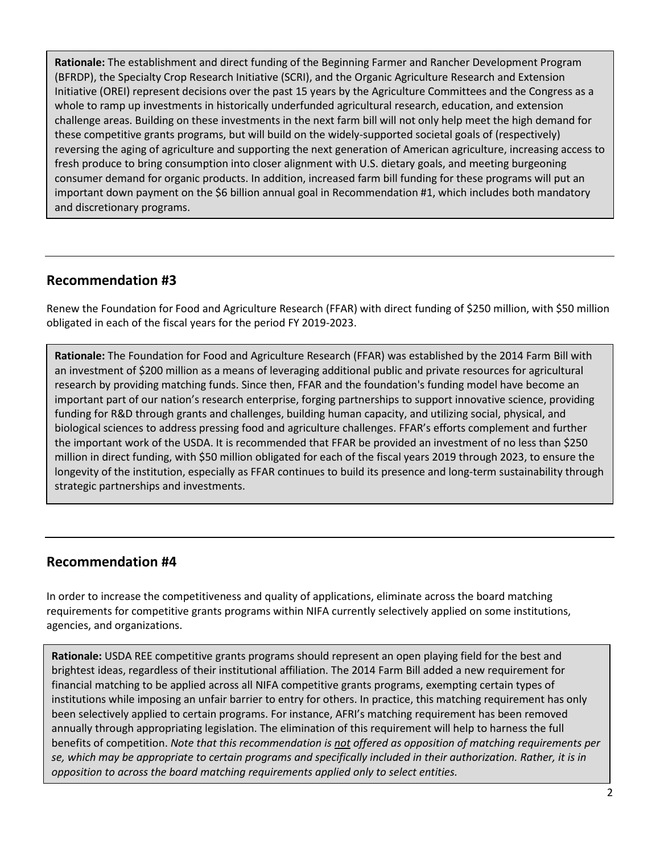**Rationale:** The establishment and direct funding of the Beginning Farmer and Rancher Development Program (BFRDP), the Specialty Crop Research Initiative (SCRI), and the Organic Agriculture Research and Extension Initiative (OREI) represent decisions over the past 15 years by the Agriculture Committees and the Congress as a whole to ramp up investments in historically underfunded agricultural research, education, and extension challenge areas. Building on these investments in the next farm bill will not only help meet the high demand for these competitive grants programs, but will build on the widely-supported societal goals of (respectively) reversing the aging of agriculture and supporting the next generation of American agriculture, increasing access to fresh produce to bring consumption into closer alignment with U.S. dietary goals, and meeting burgeoning consumer demand for organic products. In addition, increased farm bill funding for these programs will put an important down payment on the \$6 billion annual goal in Recommendation #1, which includes both mandatory and discretionary programs.

# **Recommendation #3**

Renew the Foundation for Food and Agriculture Research (FFAR) with direct funding of \$250 million, with \$50 million obligated in each of the fiscal years for the period FY 2019-2023.

**Rationale:** The Foundation for Food and Agriculture Research (FFAR) was established by the 2014 Farm Bill with an investment of \$200 million as a means of leveraging additional public and private resources for agricultural research by providing matching funds. Since then, FFAR and the foundation's funding model have become an important part of our nation's research enterprise, forging partnerships to support innovative science, providing funding for R&D through grants and challenges, building human capacity, and utilizing social, physical, and biological sciences to address pressing food and agriculture challenges. FFAR's efforts complement and further the important work of the USDA. It is recommended that FFAR be provided an investment of no less than \$250 million in direct funding, with \$50 million obligated for each of the fiscal years 2019 through 2023, to ensure the longevity of the institution, especially as FFAR continues to build its presence and long-term sustainability through strategic partnerships and investments.

# **Recommendation #4**

In order to increase the competitiveness and quality of applications, eliminate across the board matching requirements for competitive grants programs within NIFA currently selectively applied on some institutions, agencies, and organizations.

**Rationale:** USDA REE competitive grants programs should represent an open playing field for the best and brightest ideas, regardless of their institutional affiliation. The 2014 Farm Bill added a new requirement for financial matching to be applied across all NIFA competitive grants programs, exempting certain types of institutions while imposing an unfair barrier to entry for others. In practice, this matching requirement has only been selectively applied to certain programs. For instance, AFRI's matching requirement has been removed annually through appropriating legislation. The elimination of this requirement will help to harness the full benefits of competition. *Note that this recommendation is not offered as opposition of matching requirements per se, which may be appropriate to certain programs and specifically included in their authorization. Rather, it is in opposition to across the board matching requirements applied only to select entities.*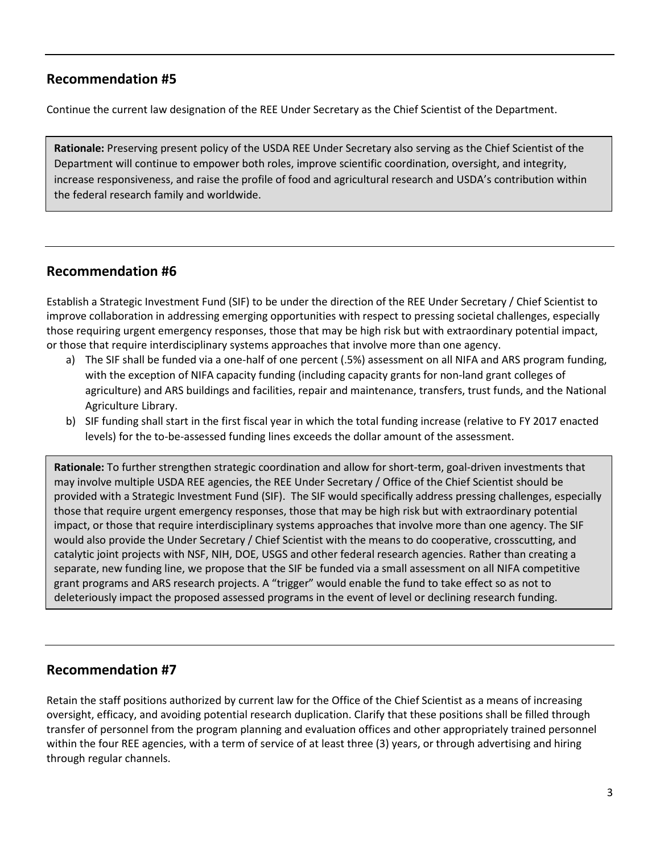# **Recommendation #5**

Continue the current law designation of the REE Under Secretary as the Chief Scientist of the Department.

**Rationale:** Preserving present policy of the USDA REE Under Secretary also serving as the Chief Scientist of the Department will continue to empower both roles, improve scientific coordination, oversight, and integrity, increase responsiveness, and raise the profile of food and agricultural research and USDA's contribution within the federal research family and worldwide.

# **Recommendation #6**

Establish a Strategic Investment Fund (SIF) to be under the direction of the REE Under Secretary / Chief Scientist to improve collaboration in addressing emerging opportunities with respect to pressing societal challenges, especially those requiring urgent emergency responses, those that may be high risk but with extraordinary potential impact, or those that require interdisciplinary systems approaches that involve more than one agency.

- a) The SIF shall be funded via a one-half of one percent (.5%) assessment on all NIFA and ARS program funding, with the exception of NIFA capacity funding (including capacity grants for non-land grant colleges of agriculture) and ARS buildings and facilities, repair and maintenance, transfers, trust funds, and the National Agriculture Library.
- b) SIF funding shall start in the first fiscal year in which the total funding increase (relative to FY 2017 enacted levels) for the to-be-assessed funding lines exceeds the dollar amount of the assessment.

**Rationale:** To further strengthen strategic coordination and allow for short-term, goal-driven investments that may involve multiple USDA REE agencies, the REE Under Secretary / Office of the Chief Scientist should be provided with a Strategic Investment Fund (SIF). The SIF would specifically address pressing challenges, especially those that require urgent emergency responses, those that may be high risk but with extraordinary potential impact, or those that require interdisciplinary systems approaches that involve more than one agency. The SIF would also provide the Under Secretary / Chief Scientist with the means to do cooperative, crosscutting, and catalytic joint projects with NSF, NIH, DOE, USGS and other federal research agencies. Rather than creating a separate, new funding line, we propose that the SIF be funded via a small assessment on all NIFA competitive grant programs and ARS research projects. A "trigger" would enable the fund to take effect so as not to deleteriously impact the proposed assessed programs in the event of level or declining research funding.

# **Recommendation #7**

Retain the staff positions authorized by current law for the Office of the Chief Scientist as a means of increasing oversight, efficacy, and avoiding potential research duplication. Clarify that these positions shall be filled through transfer of personnel from the program planning and evaluation offices and other appropriately trained personnel within the four REE agencies, with a term of service of at least three (3) years, or through advertising and hiring through regular channels.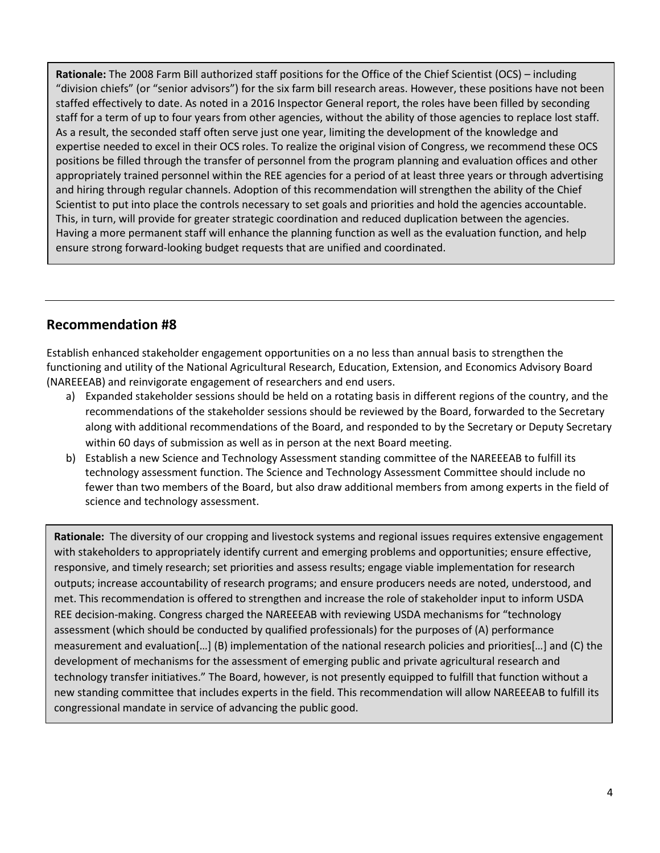**Rationale:** The 2008 Farm Bill authorized staff positions for the Office of the Chief Scientist (OCS) – including "division chiefs" (or "senior advisors") for the six farm bill research areas. However, these positions have not been staffed effectively to date. As noted in a 2016 Inspector General report, the roles have been filled by seconding staff for a term of up to four years from other agencies, without the ability of those agencies to replace lost staff. As a result, the seconded staff often serve just one year, limiting the development of the knowledge and expertise needed to excel in their OCS roles. To realize the original vision of Congress, we recommend these OCS positions be filled through the transfer of personnel from the program planning and evaluation offices and other appropriately trained personnel within the REE agencies for a period of at least three years or through advertising and hiring through regular channels. Adoption of this recommendation will strengthen the ability of the Chief Scientist to put into place the controls necessary to set goals and priorities and hold the agencies accountable. This, in turn, will provide for greater strategic coordination and reduced duplication between the agencies. Having a more permanent staff will enhance the planning function as well as the evaluation function, and help ensure strong forward-looking budget requests that are unified and coordinated.

# **Recommendation #8**

Establish enhanced stakeholder engagement opportunities on a no less than annual basis to strengthen the functioning and utility of the National Agricultural Research, Education, Extension, and Economics Advisory Board (NAREEEAB) and reinvigorate engagement of researchers and end users.

- a) Expanded stakeholder sessions should be held on a rotating basis in different regions of the country, and the recommendations of the stakeholder sessions should be reviewed by the Board, forwarded to the Secretary along with additional recommendations of the Board, and responded to by the Secretary or Deputy Secretary within 60 days of submission as well as in person at the next Board meeting.
- b) Establish a new Science and Technology Assessment standing committee of the NAREEEAB to fulfill its technology assessment function. The Science and Technology Assessment Committee should include no fewer than two members of the Board, but also draw additional members from among experts in the field of science and technology assessment.

**Rationale:** The diversity of our cropping and livestock systems and regional issues requires extensive engagement with stakeholders to appropriately identify current and emerging problems and opportunities; ensure effective, responsive, and timely research; set priorities and assess results; engage viable implementation for research outputs; increase accountability of research programs; and ensure producers needs are noted, understood, and met. This recommendation is offered to strengthen and increase the role of stakeholder input to inform USDA REE decision-making. Congress charged the NAREEEAB with reviewing USDA mechanisms for "technology assessment (which should be conducted by qualified professionals) for the purposes of (A) performance measurement and evaluation[…] (B) implementation of the national research policies and priorities[…] and (C) the development of mechanisms for the assessment of emerging public and private agricultural research and technology transfer initiatives." The Board, however, is not presently equipped to fulfill that function without a new standing committee that includes experts in the field. This recommendation will allow NAREEEAB to fulfill its congressional mandate in service of advancing the public good.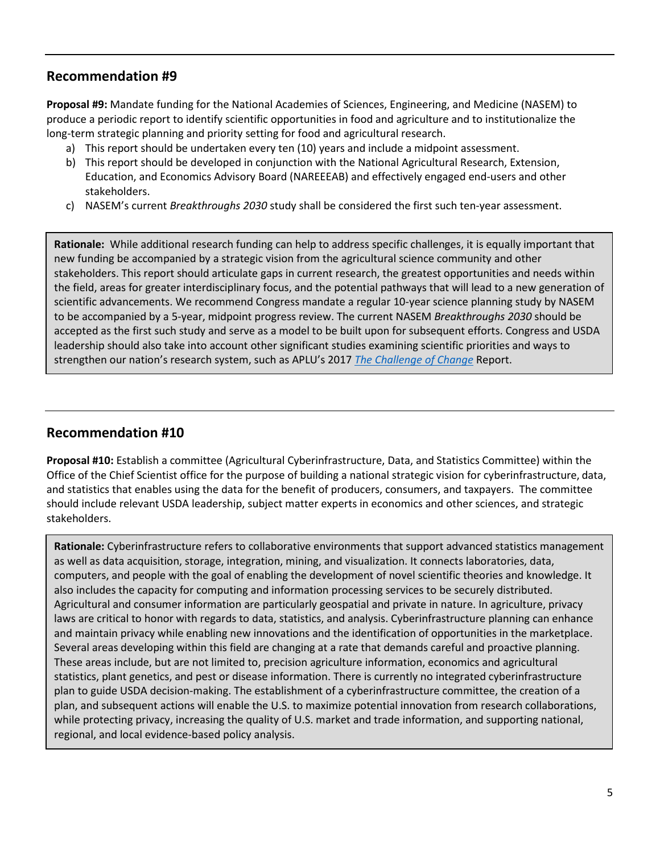# **Recommendation #9**

**Proposal #9:** Mandate funding for the National Academies of Sciences, Engineering, and Medicine (NASEM) to produce a periodic report to identify scientific opportunities in food and agriculture and to institutionalize the long-term strategic planning and priority setting for food and agricultural research.

- a) This report should be undertaken every ten (10) years and include a midpoint assessment.
- b) This report should be developed in conjunction with the National Agricultural Research, Extension, Education, and Economics Advisory Board (NAREEEAB) and effectively engaged end-users and other stakeholders.
- c) NASEM's current *Breakthroughs 2030* study shall be considered the first such ten-year assessment.

**Rationale:** While additional research funding can help to address specific challenges, it is equally important that new funding be accompanied by a strategic vision from the agricultural science community and other stakeholders. This report should articulate gaps in current research, the greatest opportunities and needs within the field, areas for greater interdisciplinary focus, and the potential pathways that will lead to a new generation of scientific advancements. We recommend Congress mandate a regular 10-year science planning study by NASEM to be accompanied by a 5-year, midpoint progress review. The current NASEM *Breakthroughs 2030* should be accepted as the first such study and serve as a model to be built upon for subsequent efforts. Congress and USDA leadership should also take into account other significant studies examining scientific priorities and ways to strengthen our nation's research system, such as APLU's 2017 *[The Challenge of Change](http://www.aplu.org/library/the-challenge-of-change/File)* Report.

# **Recommendation #10**

**Proposal #10:** Establish a committee (Agricultural Cyberinfrastructure, Data, and Statistics Committee) within the Office of the Chief Scientist office for the purpose of building a national strategic vision for cyberinfrastructure, data, and statistics that enables using the data for the benefit of producers, consumers, and taxpayers. The committee should include relevant USDA leadership, subject matter experts in economics and other sciences, and strategic stakeholders.

**Rationale:** Cyberinfrastructure refers to collaborative environments that support advanced statistics management as well as data acquisition, storage, integration, mining, and visualization. It connects laboratories, data, computers, and people with the goal of enabling the development of novel scientific theories and knowledge. It also includes the capacity for computing and information processing services to be securely distributed. Agricultural and consumer information are particularly geospatial and private in nature. In agriculture, privacy laws are critical to honor with regards to data, statistics, and analysis. Cyberinfrastructure planning can enhance and maintain privacy while enabling new innovations and the identification of opportunities in the marketplace. Several areas developing within this field are changing at a rate that demands careful and proactive planning. These areas include, but are not limited to, precision agriculture information, economics and agricultural statistics, plant genetics, and pest or disease information. There is currently no integrated cyberinfrastructure plan to guide USDA decision-making. The establishment of a cyberinfrastructure committee, the creation of a plan, and subsequent actions will enable the U.S. to maximize potential innovation from research collaborations, while protecting privacy, increasing the quality of U.S. market and trade information, and supporting national, regional, and local evidence-based policy analysis.